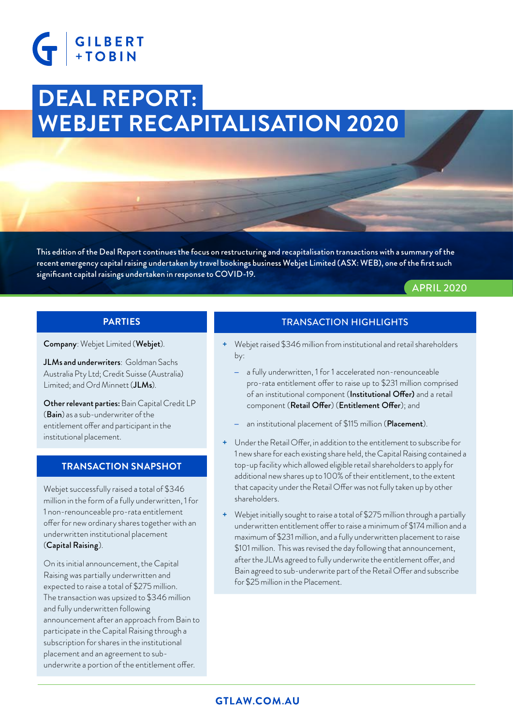

# **DEAL REPORT: WEBJET RECAPITALISATION 2020**

This edition of the Deal Report continues the focus on restructuring and recapitalisation transactions with a summary of the recent emergency capital raising undertaken by travel bookings business Webjet Limited (ASX: WEB), one of the first such significant capital raisings undertaken in response to COVID-19.

APRIL 2020

#### **PARTIES**

Company: Webjet Limited (Webjet).

JLMs and underwriters: Goldman Sachs Australia Pty Ltd; Credit Suisse (Australia) Limited; and Ord Minnett (JLMs).

Other relevant parties: Bain Capital Credit LP (Bain) as a sub-underwriter of the entitlement offer and participant in the institutional placement.

#### **TRANSACTION SNAPSHOT**

Webjet successfully raised a total of \$346 million in the form of a fully underwritten, 1 for 1 non-renounceable pro-rata entitlement offer for new ordinary shares together with an underwritten institutional placement (Capital Raising).

On its initial announcement, the Capital Raising was partially underwritten and expected to raise a total of \$275 million. The transaction was upsized to \$346 million and fully underwritten following announcement after an approach from Bain to participate in the Capital Raising through a subscription for shares in the institutional placement and an agreement to subunderwrite a portion of the entitlement offer.

#### TRANSACTION HIGHLIGHTS

- **+** Webjet raised \$346 million from institutional and retail shareholders by:
	- a fully underwritten, 1 for 1 accelerated non-renounceable pro-rata entitlement offer to raise up to \$231 million comprised of an institutional component (Institutional Offer) and a retail component (Retail Offer) (Entitlement Offer); and
	- an institutional placement of \$115 million (Placement).
- **+** Under the Retail Offer, in addition to the entitlement to subscribe for 1 new share for each existing share held, the Capital Raising contained a top-up facility which allowed eligible retail shareholders to apply for additional new shares up to 100% of their entitlement, to the extent that capacity under the Retail Offer was not fully taken up by other shareholders.
- **+** Webjet initially sought to raise a total of \$275 million through a partially underwritten entitlement offer to raise a minimum of \$174 million and a maximum of \$231 million, and a fully underwritten placement to raise \$101 million. This was revised the day following that announcement, after the JLMs agreed to fully underwrite the entitlement offer, and Bain agreed to sub-underwrite part of the Retail Offer and subscribe for \$25 million in the Placement.

# **GTLAW.COM.AU**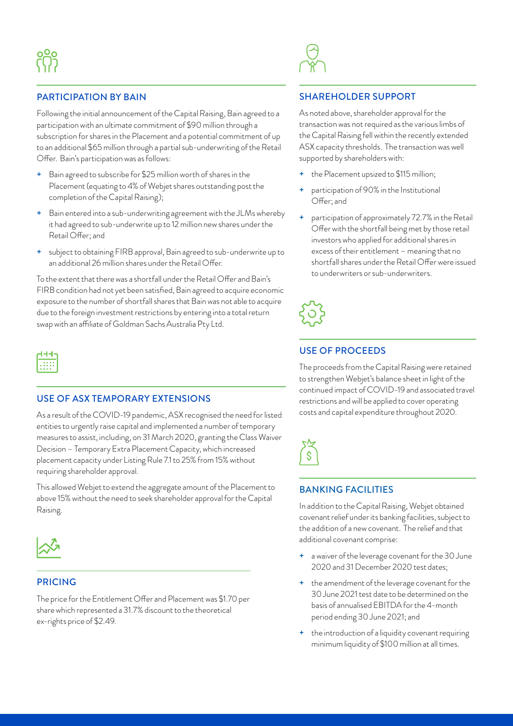#### PARTICIPATION BY BAIN

Following the initial announcement of the Capital Raising, Bain agreed to a participation with an ultimate commitment of \$90 million through a subscription for shares in the Placement and a potential commitment of up to an additional \$65 million through a partial sub-underwriting of the Retail Offer. Bain's participation was as follows:

- **+** Bain agreed to subscribe for \$25 million worth of shares in the Placement (equating to 4% of Webjet shares outstanding post the completion of the Capital Raising);
- **+** Bain entered into a sub-underwriting agreement with the JLMs whereby it had agreed to sub-underwrite up to 12 million new shares under the Retail Offer; and
- **+** subject to obtaining FIRB approval, Bain agreed to sub-underwrite up to an additional 26 million shares under the Retail Offer.

To the extent that there was a shortfall under the Retail Offer and Bain's FIRB condition had not yet been satisfied, Bain agreed to acquire economic exposure to the number of shortfall shares that Bain was not able to acquire due to the foreign investment restrictions by entering into a total return swap with an affiliate of Goldman Sachs Australia Pty Ltd.



#### USE OF ASX TEMPORARY EXTENSIONS

As a result of the COVID-19 pandemic, ASX recognised the need for listed entities to urgently raise capital and implemented a number of temporary measures to assist, including, on 31 March 2020, granting the Class Waiver Decision – Temporary Extra Placement Capacity, which increased placement capacity under Listing Rule 7.1 to 25% from 15% without requiring shareholder approval.

This allowed Webjet to extend the aggregate amount of the Placement to above 15% without the need to seek shareholder approval for the Capital Raising.



#### PRICING

The price for the Entitlement Offer and Placement was \$1.70 per share which represented a 31.7% discount to the theoretical ex-rights price of \$2.49.

### SHAREHOLDER SUPPORT

As noted above, shareholder approval for the transaction was not required as the various limbs of the Capital Raising fell within the recently extended ASX capacity thresholds. The transaction was well supported by shareholders with:

- **+** the Placement upsized to \$115 million;
- **+** participation of 90% in the Institutional Offer; and
- participation of approximately 72.7% in the Retail Offer with the shortfall being met by those retail investors who applied for additional shares in excess of their entitlement – meaning that no shortfall shares under the Retail Offer were issued to underwriters or sub-underwriters.



# USE OF PROCEEDS

The proceeds from the Capital Raising were retained to strengthen Webjet's balance sheet in light of the continued impact of COVID-19 and associated travel restrictions and will be applied to cover operating costs and capital expenditure throughout 2020.



# BANKING FACILITIES

In addition to the Capital Raising, Webjet obtained covenant relief under its banking facilities, subject to the addition of a new covenant. The relief and that additional covenant comprise:

- **+** a waiver of the leverage covenant for the 30 June 2020 and 31 December 2020 test dates;
- **+** the amendment of the leverage covenant for the 30 June 2021 test date to be determined on the basis of annualised EBITDA for the 4-month period ending 30 June 2021; and
- **+** the introduction of a liquidity covenant requiring minimum liquidity of \$100 million at all times.